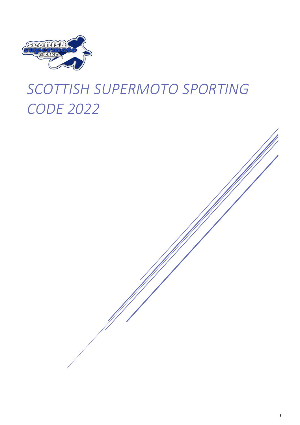

# *SCOTTISH SUPERMOTO SPORTING CODE 2022*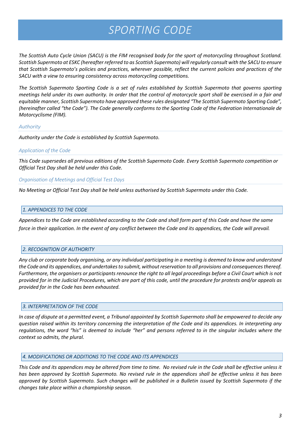# *SPORTING CODE*

*The Scottish Auto Cycle Union (SACU) is the FIM recognised body for the sport of motorcycling throughout Scotland. Scottish Supermoto at ESKC (hereafter referred to as Scottish Supermoto) will regularly consult with the SACU to ensure that Scottish Supermoto's policies and practices, wherever possible, reflect the current policies and practices of the SACU with a view to ensuring consistency across motorcycling competitions.*

*The Scottish Supermoto Sporting Code is a set of rules established by Scottish Supermoto that governs sporting meetings held under its own authority. In order that the control of motorcycle sport shall be exercised in a fair and equitable manner, Scottish Supermoto have approved these rules designated "The Scottish Supermoto Sporting Code", (hereinafter called "the Code"). The Code generally conforms to the Sporting Code of the Federation Internationale de Motorcyclisme (FIM).*

#### *Authority*

*Authority under the Code is established by Scottish Supermoto.*

# *Application of the Code*

*This Code supersedes all previous editions of the Scottish Supermoto Code. Every Scottish Supermoto competition or Official Test Day shall be held under this Code.*

# *Organisation of Meetings and Official Test Days*

*No Meeting or Official Test Day shall be held unless authorised by Scottish Supermoto under this Code.*

# *1. APPENDICES TO THE CODE*

*Appendices to the Code are established according to the Code and shall form part of this Code and have the same force in their application. In the event of any conflict between the Code and its appendices, the Code will prevail.*

# *2. RECOGNITION OF AUTHORITY*

*Any club or corporate body organising, or any individual participating in a meeting is deemed to know and understand the Code and its appendices, and undertakes to submit, without reservation to all provisions and consequences thereof. Furthermore, the organisers or participants renounce the right to all legal proceedings before a Civil Court which is not provided for in the Judicial Procedures, which are part of this code, until the procedure for protests and/or appeals as provided for in the Code has been exhausted.*

# *3. INTERPRETATION OF THE CODE*

*In case of dispute at a permitted event, a Tribunal appointed by Scottish Supermoto shall be empowered to decide any question raised within its territory concerning the interpretation of the Code and its appendices. In interpreting any regulations, the word "his" is deemed to include "her" and persons referred to in the singular includes where the context so admits, the plural.*

#### *4. MODIFICATIONS OR ADDITIONS TO THE CODE AND ITS APPENDICES*

*This Code and its appendices may be altered from time to time. No revised rule in the Code shall be effective unless it has been approved by Scottish Supermoto. No revised rule in the appendices shall be effective unless it has been approved by Scottish Supermoto. Such changes will be published in a Bulletin issued by Scottish Supermoto if the changes take place within a championship season.*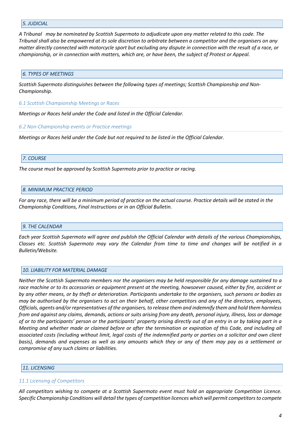#### *5. JUDICIAL*

*A Tribunal may be nominated by Scottish Supermoto to adjudicate upon any matter related to this code. The Tribunal shall also be empowered at its sole discretion to arbitrate between a competitor and the organisers on any matter directly connected with motorcycle sport but excluding any dispute in connection with the result of a race, or championship, or in connection with matters, which are, or have been, the subject of Protest or Appeal.*

#### *6. TYPES OF MEETINGS*

*Scottish Supermoto distinguishes between the following types of meetings; Scottish Championship and Non-Championship.*

*6.1 Scottish Championship Meetings or Races*

*Meetings or Races held under the Code and listed in the Official Calendar.*

*6.2 Non-Championship events or Practice meetings*

*Meetings or Races held under the Code but not required to be listed in the Official Calendar.*

#### *7. COURSE*

*The course must be approved by Scottish Supermoto prior to practice or racing.*

#### *8. MINIMUM PRACTICE PERIOD*

For any race, there will be a minimum period of practice on the actual course. Practice details will be stated in the *Championship Conditions, Final Instructions or in an Official Bulletin.*

#### *9. THE CALENDAR*

*Each year Scottish Supermoto will agree and publish the Official Calendar with details of the various Championships, Classes etc. Scottish Supermoto may vary the Calendar from time to time and changes will be notified in a Bulletin/Website.* 

#### *10. LIABILITY FOR MATERIAL DAMAGE*

*Neither the Scottish Supermoto members nor the organisers may be held responsible for any damage sustained to a race machine or to its accessories or equipment present at the meeting, howsoever caused, either by fire, accident or by any other means, or by theft or deterioration. Participants undertake to the organisers, such persons or bodies as may be authorised by the organisers to act on their behalf, other competitors and any of the directors, employees, Officials, agents and/or representatives of the organisers, to release them and indemnify them and hold them harmless from and against any claims, demands, actions or suits arising from any death, personal injury, illness, loss or damage of or to the participants' person or the participants' property arising directly out of an entry in or by taking part in a Meeting and whether made or claimed before or after the termination or expiration of this Code, and including all associated costs (including without limit, legal costs of the indemnified party or parties on a solicitor and own client basis), demands and expenses as well as any amounts which they or any of them may pay as a settlement or compromise of any such claims or liabilities.*

#### *11. LICENSING*

#### *11.1 Licensing of Competitors*

*All competitors wishing to compete at a Scottish Supermoto event must hold an appropriate Competition Licence. Specific Championship Conditions will detail the types of competition licences which will permit competitors to compete*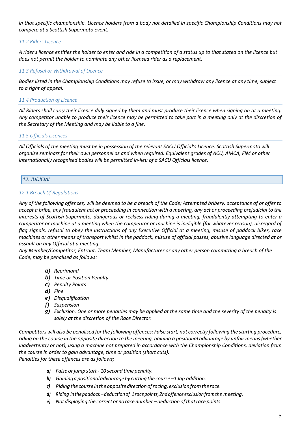in that specific championship. Licence holders from a body not detailed in specific Championship Conditions may not *compete at a Scottish Supermoto event.*

# *11.2 Riders Licence*

*A rider's licence entitles the holder to enter and ride in a competition of a status up to that stated on the licence but does not permit the holder to nominate any other licensed rider as a replacement.*

#### *11.3 Refusal or Withdrawal of Licence*

*Bodies listed in the Championship Conditions may refuse to issue, or may withdraw any licence at any time, subject to a right of appeal.*

#### *11.4 Production of Licence*

*All Riders shall carry their licence duly signed by them and must produce their licence when signing on at a meeting. Any competitor unable to produce their licence may be permitted to take part in a meeting only at the discretion of the Secretary of the Meeting and may be liable to a fine.*

#### *11.5 Officials Licences*

*All Officials of the meeting must be in possession of the relevant SACU Official's Licence. Scottish Supermoto will organise seminars for their own personnel as and when required. Equivalent grades of ACU, AMCA, FIM or other internationally recognised bodies will be permitted in-lieu of a SACU Officials licence.*

# *12. JUDICIAL*

#### *12.1 Breach 0f Regulations*

*Any of the following offences, will be deemed to be a breach of the Code; Attempted bribery, acceptance of or offer to accept a bribe, any fraudulent act or proceeding in connection with a meeting, any act or proceeding prejudicial to the interests of Scottish Supermoto, dangerous or reckless riding during a meeting, fraudulently attempting to enter a competitor or machine at a meeting when the competitor or machine is ineligible (for whatever reason), disregard of flag signals, refusal to obey the instructions of any Executive Official at a meeting, misuse of paddock bikes, race machines or other means of transport whilst in the paddock, misuse of official passes, abusive language directed at or assault on any Official at a meeting.*

*Any Member/Competitor, Entrant, Team Member, Manufacturer or any other person committing a breach of the Code, may be penalised as follows:*

- *a) Reprimand*
- *b) Time or Position Penalty*
- *c) Penalty Points*
- *d) Fine*
- *e) Disqualification*
- *f) Suspension*
- *g) Exclusion. One or more penalties may be applied at the same time and the severity of the penalty is solely at the discretion of the Race Director.*

*Competitors will also be penalised for the following offences; False start, not correctly following the starting procedure, riding on the course in the opposite direction to the meeting, gaining a positional advantage by unfair means (whether inadvertently or not), using a machine not prepared in accordance with the Championship Conditions, deviation from the course in order to gain advantage, time or position (short cuts). Penalties for these offences are as follows;*

- *a) False or jump start - 10 second time penalty.*
- *b) Gaininga positionaladvantageby cutting the course –1 lap addition.*
- *c) Riding the course intheoppositedirection ofracing, exclusionfromtherace.*
- *d) Riding inthepaddock–deductionof 1racepoints,2ndoffenceexclusionfromthe meeting.*
- *e) Not displaying the correct or no race number – deduction ofthatrace points.*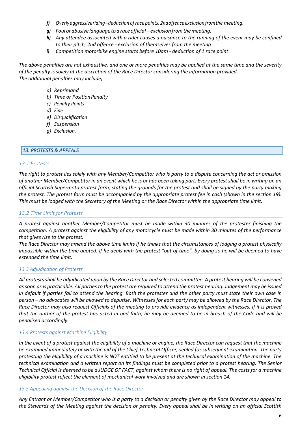- *f) Overlyaggressiveriding–deduction of race points, 2ndoffence exclusion fromthe meeting.*
- *g) Foul or abusive language to a raceofficial – exclusion fromthemeeting.*
- *h) Any attendee associated with a rider causes a nuisance to the running of the event may be confined to their pitch, 2nd offence - exclusion of themselves from the meeting*
- *i) Competition motorbike engine starts before 10am - deduction of 1 race point*

*The above penalties are not exhaustive, and one or more penalties may be applied at the same time and the severity of the penalty is solely at the discretion of the Race Director considering the information provided. The additional penalties may include;*

# *a) Reprimand*

- **b)** Time or Position Penalty
- *c) Penalty Points*
- *d) Fine*
- *e) Disqualification*
- *f) Suspension*
- *g) Exclusion.*

# *13. PROTESTS & APPEALS*

#### *13.1 Protests*

*The right to protest lies solely with any Member/Competitor who is party to a dispute concerning the act or omission of another Member/Competitor in an event which he is or has been taking part. Every protest shall be in writing on an official Scottish Supermoto protest form, stating the grounds for the protest and shall be signed by the party making*  the protest. The protest form must be accompanied by the appropriate protest fee in cash (shown in the section 19). *This must be lodged with the Secretary of the Meeting or the Race Director within the appropriate time limit.*

#### *13.2 Time Limit for Protests*

*A protest against another Member/Competitor must be made within 30 minutes of the protester finishing the competition. A protest against the eligibility of any motorcycle must be made within 30 minutes of the performance that gives rise to the protest.*

*The Race Director may amend the above time limits if he thinks that the circumstances of lodging a protest physically impossible within the time quoted. If he deals with the protest "out of time", by doing so he will be deemed to have extended the time limit.*

#### *13.3 Adjudication of Protests*

*All protests shall be adjudicated upon by the Race Director and selected committee. A protest hearing will be convened as soon as is practicable. All parties to the protest are required to attend the protest hearing. Judgement may be issued in default if parties fail to attend the hearing. Both the protester and the other party must state their own case in person – no advocates will be allowed to deputise. Witnesses for each party may be allowed by the Race Director. The Race Director may also request Officials of the meeting to provide evidence as independent witnesses. If it is proved that the author of the protest has acted in bad faith, he may be deemed to be in breach of the Code and will be penalised accordingly.*

#### *13.4 Protests against Machine Eligibility*

*In the event of a protest against the eligibility of a machine or engine, the Race Director can request that the machine be examined immediately or with the aid of the Chief Technical Officer, sealed for subsequent examination. The party protesting the eligibility of a machine is NOT entitled to be present at the technical examination of the machine. The technical examination and a written report on its findings must be completed prior to a protest hearing. The Senior Technical Official is deemed to be a JUDGE OF FACT, against whom there is no right of appeal. The costs for a machine eligibility protest reflect the element of mechanical work involved and are shown in section 14..*

#### *13.5 Appealing against the Decision of the Race Director*

*Any Entrant or Member/Competitor who is a party to a decision or penalty given by the Race Director may appeal to the Stewards of the Meeting against the decision or penalty. Every appeal shall be in writing on an official Scottish*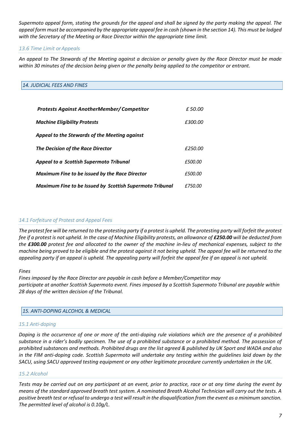*Supermoto appeal form, stating the grounds for the appeal and shall be signed by the party making the appeal. The appeal form must be accompanied by the appropriate appeal fee in cash (shown in the section 14). This must be lodged with the Secretary of the Meeting or Race Director within the appropriate time limit.*

# *13.6 Time Limit orAppeals*

*An appeal to The Stewards of the Meeting against a decision or penalty given by the Race Director must be made within 30 minutes of the decision being given or the penalty being applied to the competitor or entrant.*

# *14. JUDICIAL FEES AND FINES*

| <b>Protests Against AnotherMember/Competitor</b>         | £50.00  |
|----------------------------------------------------------|---------|
| <b>Machine Eligibility Protests</b>                      | £300.00 |
| Appeal to the Stewards of the Meeting against            |         |
| The Decision of the Race Director                        | £250.00 |
| <b>Appeal to a Scottish Supermoto Tribunal</b>           | £500.00 |
| <b>Maximum Fine to be issued by the Race Director</b>    | £500.00 |
| Maximum Fine to be Issued by Scottish Supermoto Tribunal | £750.00 |

#### *14.1 Forfeiture of Protest and Appeal Fees*

*The protest fee will be returned to the protesting party if a protest is upheld. The protesting party will forfeit the protest fee if a protest is not upheld. In the case of Machine Eligibility protests, an allowance of £250.00 will be deducted from the £300.00 protest fee and allocated to the owner of the machine in-lieu of mechanical expenses, subject to the machine being proved to be eligible and the protest against it not being upheld. The appeal fee will be returned to the appealing party if an appeal is upheld. The appealing party will forfeit the appeal fee if an appeal is not upheld.*

#### *Fines*

*Fines imposed by the Race Director are payable in cash before a Member/Competitor may participate at another Scottish Supermoto event. Fines imposed by a Scottish Supermoto Tribunal are payable within 28 days of the written decision of the Tribunal.*

#### *15. ANTI-DOPING ALCOHOL & MEDICAL*

#### *15.1 Anti-doping*

*Doping is the occurrence of one or more of the anti-doping rule violations which are the presence of a prohibited substance in a rider's bodily specimen. The use of a prohibited substance or a prohibited method. The possession of prohibited substances and methods. Prohibited drugs are the list agreed & published by UK Sport and WADA and also in the FIM anti-doping code. Scottish Supermoto will undertake any testing within the guidelines laid down by the SACU, using SACU approved testing equipment or any other legitimate procedure currently undertaken in the UK.*

#### *15.2 Alcohol*

*Tests may be carried out on any participant at an event, prior to practice, race or at any time during the event by means of the standard approved breath test system. A nominated Breath Alcohol Technician will carry out the tests. A positive breath test or refusal to undergo a test will result in the disqualification from the event as a minimum sanction. The permitted level of alcohol is 0.10g/L.*